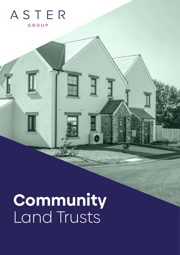## ASTER GROUP

# **Community** Land Trusts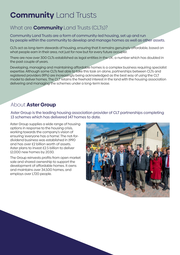# **Community** Land Trusts

## What are **Community** Land Trusts (CLTs)?

Community Land Trusts are a form of community-led housing, set up and run by people within the community to develop and manage homes as well as other assets.

CLTs act as long-term stewards of housing, ensuring that it remains genuinely affordable, based on what people earn in their area, not just for now but for every future occupier.

There are now over 300 CLTs established as legal entities in the UK; a number which has doubled in the past couple of years.

Developing, managing and maintaining affordable homes is a complex business requiring specialist expertise. Although some CLTs feel able to take this task on alone, partnerships between CLTs and registered providers (RPs) are increasingly being acknowledged as the best way of using the CLT model to deliver homes. The CLT retains the freehold interest in the land with the housing association delivering and managing the schemes under a long-term lease.

### About **Aster Group**

Aster Group is the leading housing association provider of CLT partnerships completing 13 schemes which has delivered 147 homes to date.

Aster Group supplies a wide range of housing options in response to the housing crisis, working towards the company's vision of ensuring 'everyone has a home'. The not-fordividend business was established in 1990 and has over £2 billion worth of assets. Aster plans to invest £2.5 billion to deliver 12,000 new homes by 2030.

The Group reinvests profits from open market sale and shared ownership to support the development of affordable homes. It owns and maintains over 34,500 homes, and employs over 1,720 people.

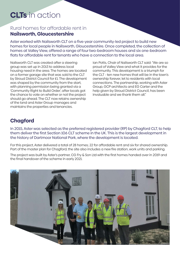## **CLTs** in action

#### Rural homes for affordable rent in **Nailsworth, Gloucestershire**

Aster worked with Nailsworth CLT on a five-year community-led project to build new homes for local people in Nailsworth, Gloucestershire. Once completed, the collection of homes at Valley View, offered a range of four two-bedroom houses and six one-bedroom flats for affordable rent for tenants who have a connection to the local area.

Nailsworth CLT was created after a steering group was set up in 2013 to address local housing need in the area. The homes are located on a former garage site that was sold to the CLT by Stroud District Council for £1. The development was shaped by the community from the start, with planning permission being granted via a 'Community Right to Build Order', after locals got the chance to vote on whether or not the project should go ahead. The CLT now retains ownership of the land and Aster Group manages and maintains the properties and tenancies.

Ian Potts, Chair of Nailsworth CLT said: "We are so proud of Valley View and what it provides for the community. This development is a triumph for the CLT - ten new homes that will be in the town's ownership forever, let to residents with local connections. The partnership, working with Aster Group, GCP architects and EG Carter and the help given by Stroud District Council, has been invaluable and we thank them all"

#### **Chagford**

In 2015, Aster was selected as the preferred registered provider (RP) by Chagford CLT, to help them deliver the first Section 106 CLT scheme in the UK. This is the largest development in the history of Dartmoor National Park, where the development is located.

For this project, Aster delivered a total of 28 homes; 22 for affordable rent and six for shared ownership. Part of the master plan for Chagford, the site also includes a new fire station, work units and parking.

The project was built by Aster's partner, CG Fry & Son Ltd with the first homes handed over in 2019 and the final handover of the scheme in early 2021.